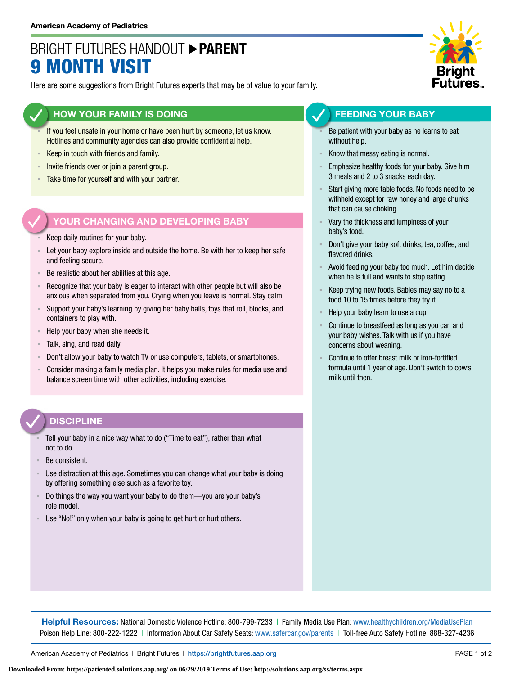## BRIGHT FUTURES HANDOUT **PARENT** 9 MONTH VISIT

Here are some suggestions from Bright Futures experts that may be of value to your family.

#### **HOW YOUR FAMILY IS DOING**

- If you feel unsafe in your home or have been hurt by someone, let us know. Hotlines and community agencies can also provide confidential help.
- **EXECT** in touch with friends and family.
- **EXECT** Invite friends over or join a parent group.
- Take time for yourself and with your partner.

#### **YOUR CHANGING AND DEVELOPING BABY**

- Keep daily routines for your baby.
- Let your baby explore inside and outside the home. Be with her to keep her safe and feeling secure.
- Be realistic about her abilities at this age.
- Recognize that your baby is eager to interact with other people but will also be anxious when separated from you. Crying when you leave is normal. Stay calm.
- Support your baby's learning by giving her baby balls, toys that roll, blocks, and containers to play with.
- Help your baby when she needs it.
- Talk, sing, and read daily.
- Don't allow your baby to watch TV or use computers, tablets, or smartphones.
- Consider making a family media plan. It helps you make rules for media use and balance screen time with other activities, including exercise.

#### **DISCIPLINE**

- Tell your baby in a nice way what to do ("Time to eat"), rather than what not to do.
- Be consistent.
- Use distraction at this age. Sometimes you can change what your baby is doing by offering something else such as a favorite toy.
- Do things the way you want your baby to do them—you are your baby's role model.
- Use "No!" only when your baby is going to get hurt or hurt others.



#### **FEEDING YOUR BABY**

- Be patient with your baby as he learns to eat without help.
- Know that messy eating is normal.
- Emphasize healthy foods for your baby. Give him 3 meals and 2 to 3 snacks each day.
- Start giving more table foods. No foods need to be withheld except for raw honey and large chunks that can cause choking.
- Vary the thickness and lumpiness of your baby's food.
- Don't give your baby soft drinks, tea, coffee, and flavored drinks.
- Avoid feeding your baby too much. Let him decide when he is full and wants to stop eating.
- Keep trying new foods. Babies may say no to a food 10 to 15 times before they try it.
- Help your baby learn to use a cup.
- Continue to breastfeed as long as you can and your baby wishes. Talk with us if you have concerns about weaning.
- Continue to offer breast milk or iron-fortified formula until 1 year of age. Don't switch to cow's milk until then.

**Helpful Resources:** National Domestic Violence Hotline: 800-799-7233 | Family Media Use Plan: [www.healthychildren.org/MediaUsePlan](https://www.healthychildren.org/English/media/Pages/default.aspx) Poison Help Line: 800-222-1222 | Information About Car Safety Seats: [www.safercar.gov/parents](https://www.nhtsa.gov/parents-and-caregivers) | Toll-free Auto Safety Hotline: 888-327-4236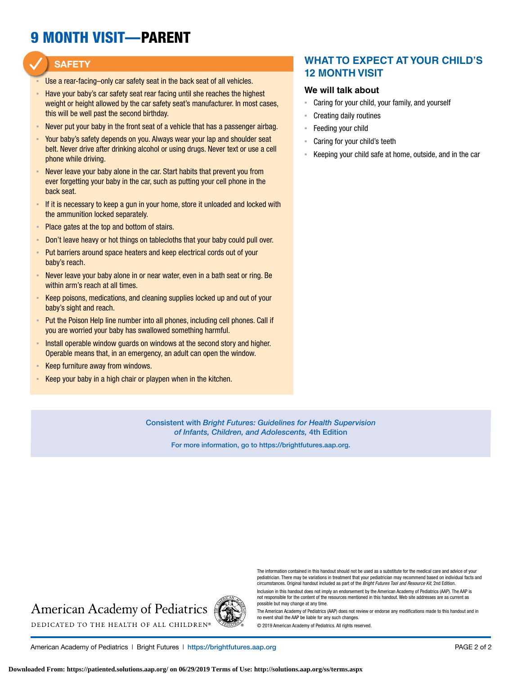# 9 MONTH VISIT—PARENT

#### **SAFETY**

- Use a rear-facing–only car safety seat in the back seat of all vehicles.
- Have your baby's car safety seat rear facing until she reaches the highest weight or height allowed by the car safety seat's manufacturer. In most cases, this will be well past the second birthday.
- **EXECT** Never put your baby in the front seat of a vehicle that has a passenger airbag.
- Your baby's safety depends on you. Always wear your lap and shoulder seat belt. Never drive after drinking alcohol or using drugs. Never text or use a cell phone while driving.
- Never leave your baby alone in the car. Start habits that prevent you from ever forgetting your baby in the car, such as putting your cell phone in the back seat.
- **EXTED 15 If it is necessary to keep a gun in your home, store it unloaded and locked with** the ammunition locked separately.
- Place gates at the top and bottom of stairs.
- **EXED 10** Don't leave heavy or hot things on tablecloths that your baby could pull over.
- Put barriers around space heaters and keep electrical cords out of your baby's reach.
- Never leave your baby alone in or near water, even in a bath seat or ring. Be within arm's reach at all times.
- Keep poisons, medications, and cleaning supplies locked up and out of your baby's sight and reach.
- Put the Poison Help line number into all phones, including cell phones. Call if you are worried your baby has swallowed something harmful.
- **EXECT** Install operable window guards on windows at the second story and higher. Operable means that, in an emergency, an adult can open the window.
- Keep furniture away from windows.
- **EXEEP Your baby in a high chair or playpen when in the kitchen.**

#### **WHAT TO EXPECT AT YOUR CHILD'S 12 MONTH VISIT**

#### **We will talk about**

- Caring for your child, your family, and yourself
- **Creating daily routines**
- Feeding your child
- Caring for your child's teeth
- Keeping your child safe at home, outside, and in the car

Consistent with *Bright Futures: Guidelines for Health Supervision of Infants, Children, and Adolescents,* 4th Edition

For more information, go to https:/[/brightfutures.aap.org.](https://brightfutures.aap.org/Pages/default.aspx)

### **American Academy of Pediatrics**



American Academy of Pediatrics | Bright Futures | https:/[/brightfutures.aap.org](https://brightfutures.aap.org/Pages/default.aspx) PAGE 2 of 2

The information contained in this handout should not be used as a substitute for the medical care and advice of your pediatrician. There may be variations in treatment that your pediatrician may recommend based on individual facts and circumstances. Original handout included as part of the *Bright Futures Tool and Resource Kit*, 2nd Edition.

Inclusion in this handout does not imply an endorsement by the American Academy of Pediatrics (AAP). The AAP is not responsible for the content of the resources mentioned in this handout. Web site addresses are as current as possible but may change at any time.

The American Academy of Pediatrics (AAP) does not review or endorse any modifications made to this handout and in no event shall the AAP be liable for any such changes.

© 2019 American Academy of Pediatrics. All rights reserved.